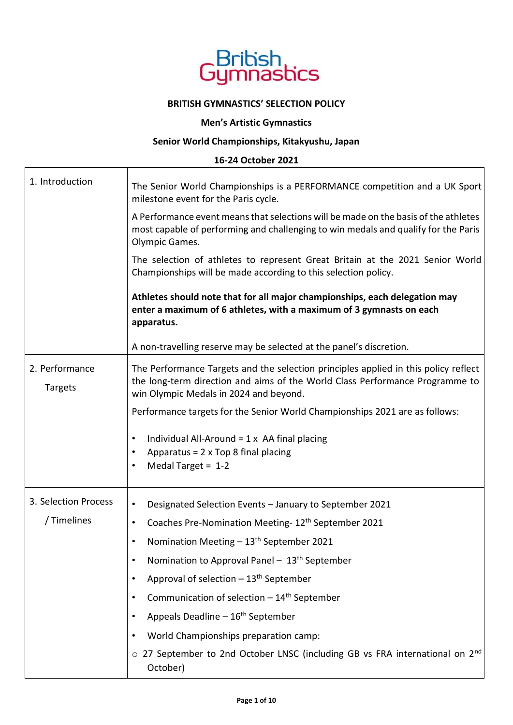

### **BRITISH GYMNASTICS' SELECTION POLICY**

## **Men's Artistic Gymnastics**

# **Senior World Championships, Kitakyushu, Japan**

## **16-24 October 2021**

| 1. Introduction           | The Senior World Championships is a PERFORMANCE competition and a UK Sport<br>milestone event for the Paris cycle.                                                                                            |  |  |  |  |  |  |
|---------------------------|---------------------------------------------------------------------------------------------------------------------------------------------------------------------------------------------------------------|--|--|--|--|--|--|
|                           | A Performance event means that selections will be made on the basis of the athletes<br>most capable of performing and challenging to win medals and qualify for the Paris<br>Olympic Games.                   |  |  |  |  |  |  |
|                           | The selection of athletes to represent Great Britain at the 2021 Senior World<br>Championships will be made according to this selection policy.                                                               |  |  |  |  |  |  |
|                           | Athletes should note that for all major championships, each delegation may<br>enter a maximum of 6 athletes, with a maximum of 3 gymnasts on each<br>apparatus.                                               |  |  |  |  |  |  |
|                           | A non-travelling reserve may be selected at the panel's discretion.                                                                                                                                           |  |  |  |  |  |  |
| 2. Performance<br>Targets | The Performance Targets and the selection principles applied in this policy reflect<br>the long-term direction and aims of the World Class Performance Programme to<br>win Olympic Medals in 2024 and beyond. |  |  |  |  |  |  |
|                           | Performance targets for the Senior World Championships 2021 are as follows:                                                                                                                                   |  |  |  |  |  |  |
|                           | Individual All-Around = $1 \times$ AA final placing<br>$\bullet$<br>Apparatus = 2 x Top 8 final placing<br>$\bullet$<br>Medal Target = $1-2$                                                                  |  |  |  |  |  |  |
| 3. Selection Process      | Designated Selection Events - January to September 2021<br>$\bullet$                                                                                                                                          |  |  |  |  |  |  |
| / Timelines               | Coaches Pre-Nomination Meeting- 12 <sup>th</sup> September 2021<br>$\bullet$                                                                                                                                  |  |  |  |  |  |  |
|                           | Nomination Meeting $-13th$ September 2021                                                                                                                                                                     |  |  |  |  |  |  |
|                           | Nomination to Approval Panel - 13 <sup>th</sup> September                                                                                                                                                     |  |  |  |  |  |  |
|                           | Approval of selection - 13 <sup>th</sup> September                                                                                                                                                            |  |  |  |  |  |  |
|                           | Communication of selection $-14$ <sup>th</sup> September                                                                                                                                                      |  |  |  |  |  |  |
|                           | Appeals Deadline - 16 <sup>th</sup> September                                                                                                                                                                 |  |  |  |  |  |  |
|                           | World Championships preparation camp:                                                                                                                                                                         |  |  |  |  |  |  |
|                           | o 27 September to 2nd October LNSC (including GB vs FRA international on 2 <sup>nd</sup><br>October)                                                                                                          |  |  |  |  |  |  |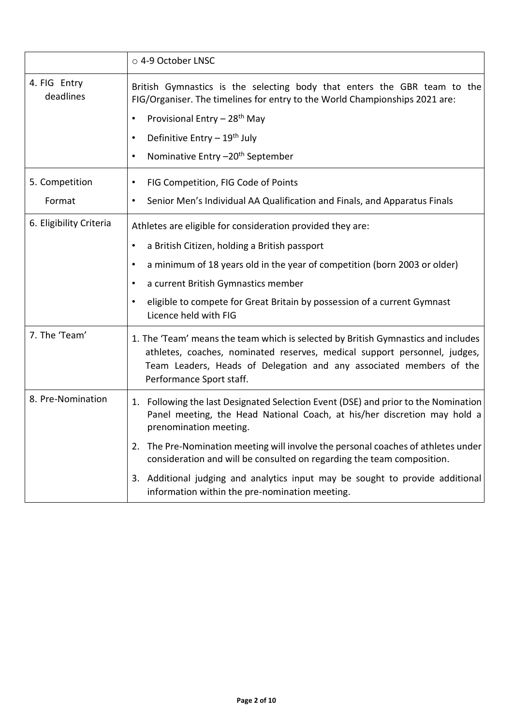|                           | ○ 4-9 October LNSC                                                                                                                                                                                                                                                |  |  |  |  |  |
|---------------------------|-------------------------------------------------------------------------------------------------------------------------------------------------------------------------------------------------------------------------------------------------------------------|--|--|--|--|--|
| 4. FIG Entry<br>deadlines | British Gymnastics is the selecting body that enters the GBR team to the<br>FIG/Organiser. The timelines for entry to the World Championships 2021 are:                                                                                                           |  |  |  |  |  |
|                           | Provisional Entry - 28 <sup>th</sup> May<br>$\bullet$                                                                                                                                                                                                             |  |  |  |  |  |
|                           | Definitive Entry - 19 <sup>th</sup> July<br>$\bullet$                                                                                                                                                                                                             |  |  |  |  |  |
|                           | Nominative Entry -20 <sup>th</sup> September<br>$\bullet$                                                                                                                                                                                                         |  |  |  |  |  |
| 5. Competition            | FIG Competition, FIG Code of Points                                                                                                                                                                                                                               |  |  |  |  |  |
| Format                    | Senior Men's Individual AA Qualification and Finals, and Apparatus Finals<br>$\bullet$                                                                                                                                                                            |  |  |  |  |  |
| 6. Eligibility Criteria   | Athletes are eligible for consideration provided they are:                                                                                                                                                                                                        |  |  |  |  |  |
|                           | a British Citizen, holding a British passport<br>$\bullet$                                                                                                                                                                                                        |  |  |  |  |  |
|                           | a minimum of 18 years old in the year of competition (born 2003 or older)                                                                                                                                                                                         |  |  |  |  |  |
|                           | a current British Gymnastics member<br>$\bullet$                                                                                                                                                                                                                  |  |  |  |  |  |
|                           | eligible to compete for Great Britain by possession of a current Gymnast<br>$\bullet$<br>Licence held with FIG                                                                                                                                                    |  |  |  |  |  |
| 7. The 'Team'             | 1. The 'Team' means the team which is selected by British Gymnastics and includes<br>athletes, coaches, nominated reserves, medical support personnel, judges,<br>Team Leaders, Heads of Delegation and any associated members of the<br>Performance Sport staff. |  |  |  |  |  |
| 8. Pre-Nomination         | 1. Following the last Designated Selection Event (DSE) and prior to the Nomination<br>Panel meeting, the Head National Coach, at his/her discretion may hold a<br>prenomination meeting.                                                                          |  |  |  |  |  |
|                           | 2. The Pre-Nomination meeting will involve the personal coaches of athletes under<br>consideration and will be consulted on regarding the team composition.                                                                                                       |  |  |  |  |  |
|                           | 3. Additional judging and analytics input may be sought to provide additional<br>information within the pre-nomination meeting.                                                                                                                                   |  |  |  |  |  |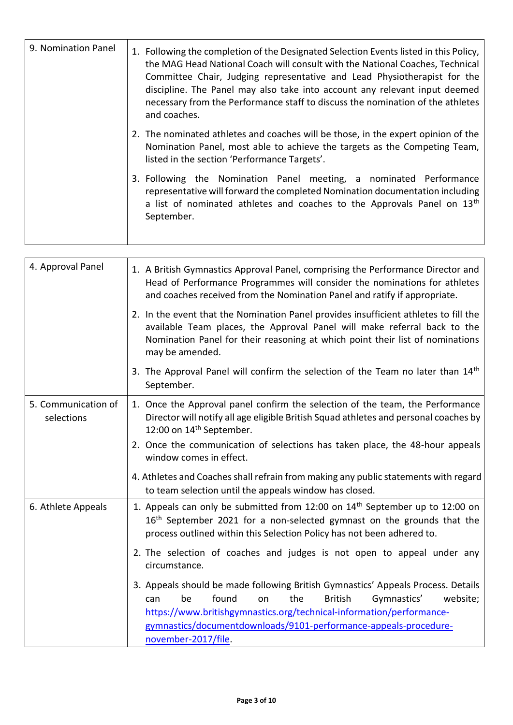| 9. Nomination Panel | 1. Following the completion of the Designated Selection Events listed in this Policy,<br>the MAG Head National Coach will consult with the National Coaches, Technical<br>Committee Chair, Judging representative and Lead Physiotherapist for the<br>discipline. The Panel may also take into account any relevant input deemed<br>necessary from the Performance staff to discuss the nomination of the athletes<br>and coaches. |
|---------------------|------------------------------------------------------------------------------------------------------------------------------------------------------------------------------------------------------------------------------------------------------------------------------------------------------------------------------------------------------------------------------------------------------------------------------------|
|                     | 2. The nominated athletes and coaches will be those, in the expert opinion of the<br>Nomination Panel, most able to achieve the targets as the Competing Team,<br>listed in the section 'Performance Targets'.                                                                                                                                                                                                                     |
|                     | 3. Following the Nomination Panel meeting, a nominated Performance<br>representative will forward the completed Nomination documentation including<br>a list of nominated athletes and coaches to the Approvals Panel on 13 <sup>th</sup><br>September.                                                                                                                                                                            |

| 4. Approval Panel                 | 1. A British Gymnastics Approval Panel, comprising the Performance Director and<br>Head of Performance Programmes will consider the nominations for athletes<br>and coaches received from the Nomination Panel and ratify if appropriate.                                                                                           |
|-----------------------------------|-------------------------------------------------------------------------------------------------------------------------------------------------------------------------------------------------------------------------------------------------------------------------------------------------------------------------------------|
|                                   | 2. In the event that the Nomination Panel provides insufficient athletes to fill the<br>available Team places, the Approval Panel will make referral back to the<br>Nomination Panel for their reasoning at which point their list of nominations<br>may be amended.                                                                |
|                                   | 3. The Approval Panel will confirm the selection of the Team no later than 14 <sup>th</sup><br>September.                                                                                                                                                                                                                           |
| 5. Communication of<br>selections | 1. Once the Approval panel confirm the selection of the team, the Performance<br>Director will notify all age eligible British Squad athletes and personal coaches by<br>12:00 on 14 <sup>th</sup> September.                                                                                                                       |
|                                   | 2. Once the communication of selections has taken place, the 48-hour appeals<br>window comes in effect.                                                                                                                                                                                                                             |
|                                   | 4. Athletes and Coaches shall refrain from making any public statements with regard<br>to team selection until the appeals window has closed.                                                                                                                                                                                       |
| 6. Athlete Appeals                | 1. Appeals can only be submitted from 12:00 on 14 <sup>th</sup> September up to 12:00 on<br>16 <sup>th</sup> September 2021 for a non-selected gymnast on the grounds that the<br>process outlined within this Selection Policy has not been adhered to.                                                                            |
|                                   | 2. The selection of coaches and judges is not open to appeal under any<br>circumstance.                                                                                                                                                                                                                                             |
|                                   | 3. Appeals should be made following British Gymnastics' Appeals Process. Details<br>found<br>the<br><b>British</b><br>Gymnastics'<br>website;<br>be<br>on<br>can<br>https://www.britishgymnastics.org/technical-information/performance-<br>gymnastics/documentdownloads/9101-performance-appeals-procedure-<br>november-2017/file. |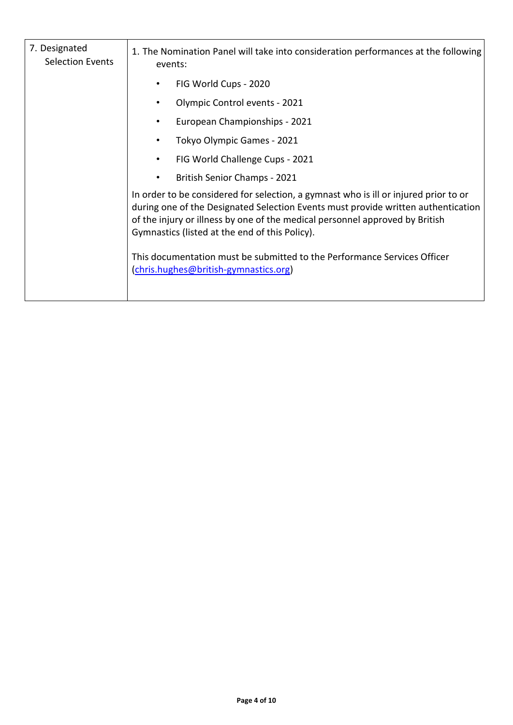| 7. Designated<br><b>Selection Events</b> | 1. The Nomination Panel will take into consideration performances at the following<br>events:                                                                                                                                                                                                               |  |  |  |  |
|------------------------------------------|-------------------------------------------------------------------------------------------------------------------------------------------------------------------------------------------------------------------------------------------------------------------------------------------------------------|--|--|--|--|
|                                          | FIG World Cups - 2020                                                                                                                                                                                                                                                                                       |  |  |  |  |
|                                          | Olympic Control events - 2021                                                                                                                                                                                                                                                                               |  |  |  |  |
|                                          | European Championships - 2021                                                                                                                                                                                                                                                                               |  |  |  |  |
|                                          | Tokyo Olympic Games - 2021                                                                                                                                                                                                                                                                                  |  |  |  |  |
|                                          | FIG World Challenge Cups - 2021                                                                                                                                                                                                                                                                             |  |  |  |  |
|                                          | British Senior Champs - 2021                                                                                                                                                                                                                                                                                |  |  |  |  |
|                                          | In order to be considered for selection, a gymnast who is ill or injured prior to or<br>during one of the Designated Selection Events must provide written authentication<br>of the injury or illness by one of the medical personnel approved by British<br>Gymnastics (listed at the end of this Policy). |  |  |  |  |
|                                          | This documentation must be submitted to the Performance Services Officer<br>(chris.hughes@british-gymnastics.org)                                                                                                                                                                                           |  |  |  |  |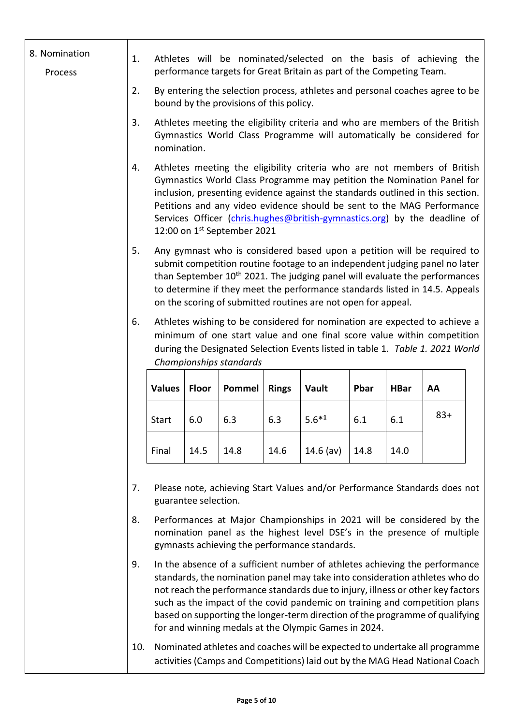|  | 8. Nomination<br>Process | 1. |               |                      |                                         |                                                                                                                                                                                                   | Athletes will be nominated/selected on the basis of achieving the<br>performance targets for Great Britain as part of the Competing Team.                                                                                                                                                                                                                                                                   |             |             |       |  |
|--|--------------------------|----|---------------|----------------------|-----------------------------------------|---------------------------------------------------------------------------------------------------------------------------------------------------------------------------------------------------|-------------------------------------------------------------------------------------------------------------------------------------------------------------------------------------------------------------------------------------------------------------------------------------------------------------------------------------------------------------------------------------------------------------|-------------|-------------|-------|--|
|  |                          | 2. |               |                      | bound by the provisions of this policy. |                                                                                                                                                                                                   | By entering the selection process, athletes and personal coaches agree to be                                                                                                                                                                                                                                                                                                                                |             |             |       |  |
|  |                          | 3. | nomination.   |                      |                                         |                                                                                                                                                                                                   | Athletes meeting the eligibility criteria and who are members of the British<br>Gymnastics World Class Programme will automatically be considered for                                                                                                                                                                                                                                                       |             |             |       |  |
|  |                          | 4. |               |                      | 12:00 on 1st September 2021             |                                                                                                                                                                                                   | Athletes meeting the eligibility criteria who are not members of British<br>Gymnastics World Class Programme may petition the Nomination Panel for<br>inclusion, presenting evidence against the standards outlined in this section.<br>Petitions and any video evidence should be sent to the MAG Performance<br>Services Officer (chris.hughes@british-gymnastics.org) by the deadline of                 |             |             |       |  |
|  |                          | 5. |               |                      |                                         |                                                                                                                                                                                                   | Any gymnast who is considered based upon a petition will be required to<br>submit competition routine footage to an independent judging panel no later<br>than September 10 <sup>th</sup> 2021. The judging panel will evaluate the performances<br>to determine if they meet the performance standards listed in 14.5. Appeals<br>on the scoring of submitted routines are not open for appeal.            |             |             |       |  |
|  |                          | 6. |               |                      | Championships standards                 |                                                                                                                                                                                                   | Athletes wishing to be considered for nomination are expected to achieve a<br>minimum of one start value and one final score value within competition<br>during the Designated Selection Events listed in table 1. Table 1. 2021 World                                                                                                                                                                      |             |             |       |  |
|  |                          |    | <b>Values</b> | <b>Floor</b>         | Pommel                                  | <b>Rings</b>                                                                                                                                                                                      | Vault                                                                                                                                                                                                                                                                                                                                                                                                       | <b>Pbar</b> | <b>HBar</b> | AA    |  |
|  |                          |    | <b>Start</b>  | 6.0                  | 6.3                                     | 6.3                                                                                                                                                                                               | $5.6*1$                                                                                                                                                                                                                                                                                                                                                                                                     | 6.1         | 6.1         | $83+$ |  |
|  |                          |    | Final         | 14.5                 | 14.8                                    | 14.6                                                                                                                                                                                              | $14.6$ (av)                                                                                                                                                                                                                                                                                                                                                                                                 | 14.8        | 14.0        |       |  |
|  |                          | 7. |               | guarantee selection. |                                         |                                                                                                                                                                                                   | Please note, achieving Start Values and/or Performance Standards does not                                                                                                                                                                                                                                                                                                                                   |             |             |       |  |
|  | 8.                       |    |               |                      |                                         | Performances at Major Championships in 2021 will be considered by the<br>nomination panel as the highest level DSE's in the presence of multiple<br>gymnasts achieving the performance standards. |                                                                                                                                                                                                                                                                                                                                                                                                             |             |             |       |  |
|  |                          | 9. |               |                      |                                         |                                                                                                                                                                                                   | In the absence of a sufficient number of athletes achieving the performance<br>standards, the nomination panel may take into consideration athletes who do<br>not reach the performance standards due to injury, illness or other key factors<br>such as the impact of the covid pandemic on training and competition plans<br>based on supporting the longer-term direction of the programme of qualifying |             |             |       |  |

10. Nominated athletes and coaches will be expected to undertake all programme activities (Camps and Competitions) laid out by the MAG Head National Coach

for and winning medals at the Olympic Games in 2024.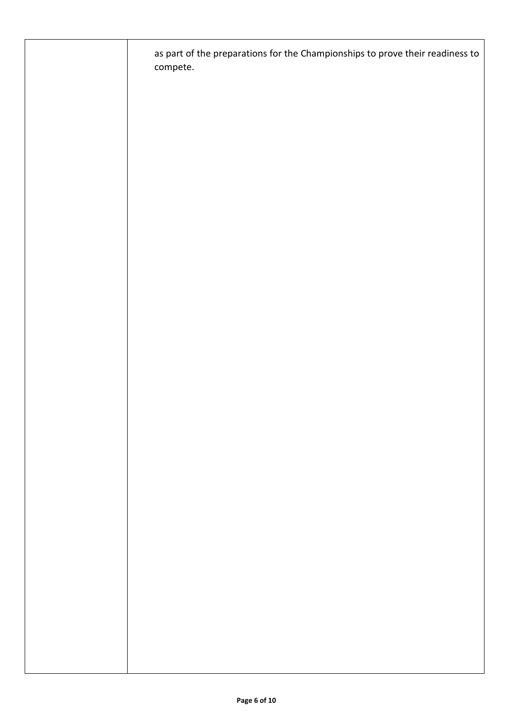| as part of the preparations for the Championships to prove their readiness to<br>compete. |
|-------------------------------------------------------------------------------------------|
|                                                                                           |
|                                                                                           |
|                                                                                           |
|                                                                                           |
|                                                                                           |
|                                                                                           |
|                                                                                           |
|                                                                                           |
|                                                                                           |
|                                                                                           |
|                                                                                           |
|                                                                                           |
|                                                                                           |
|                                                                                           |
|                                                                                           |
|                                                                                           |
|                                                                                           |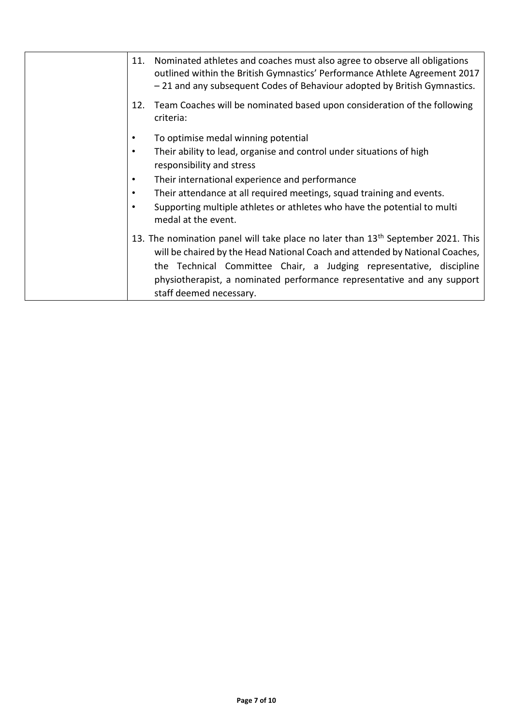| 11. | Nominated athletes and coaches must also agree to observe all obligations<br>outlined within the British Gymnastics' Performance Athlete Agreement 2017<br>-21 and any subsequent Codes of Behaviour adopted by British Gymnastics.                                                                                                                       |
|-----|-----------------------------------------------------------------------------------------------------------------------------------------------------------------------------------------------------------------------------------------------------------------------------------------------------------------------------------------------------------|
| 12. | Team Coaches will be nominated based upon consideration of the following<br>criteria:                                                                                                                                                                                                                                                                     |
| ٠   | To optimise medal winning potential                                                                                                                                                                                                                                                                                                                       |
| ٠   | Their ability to lead, organise and control under situations of high<br>responsibility and stress                                                                                                                                                                                                                                                         |
| ٠   | Their international experience and performance                                                                                                                                                                                                                                                                                                            |
| ٠   | Their attendance at all required meetings, squad training and events.                                                                                                                                                                                                                                                                                     |
|     | Supporting multiple athletes or athletes who have the potential to multi<br>medal at the event.                                                                                                                                                                                                                                                           |
|     | 13. The nomination panel will take place no later than 13 <sup>th</sup> September 2021. This<br>will be chaired by the Head National Coach and attended by National Coaches,<br>the Technical Committee Chair, a Judging representative, discipline<br>physiotherapist, a nominated performance representative and any support<br>staff deemed necessary. |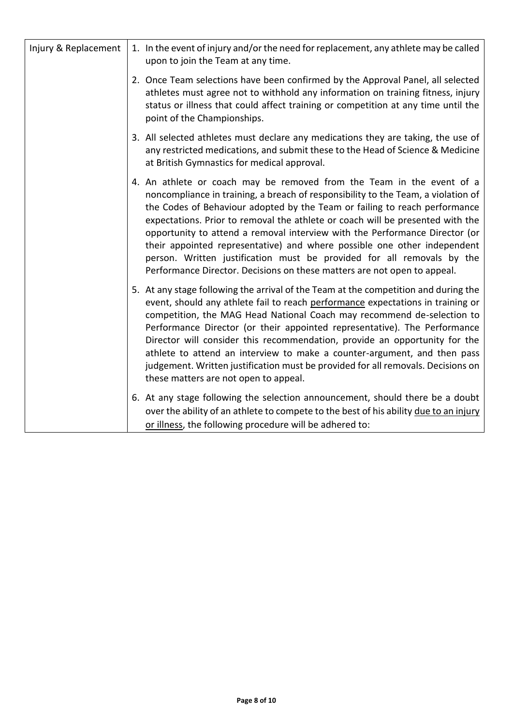| Injury & Replacement | 1. In the event of injury and/or the need for replacement, any athlete may be called<br>upon to join the Team at any time.                                                                                                                                                                                                                                                                                                                                                                                                                                                                                                                  |
|----------------------|---------------------------------------------------------------------------------------------------------------------------------------------------------------------------------------------------------------------------------------------------------------------------------------------------------------------------------------------------------------------------------------------------------------------------------------------------------------------------------------------------------------------------------------------------------------------------------------------------------------------------------------------|
|                      | 2. Once Team selections have been confirmed by the Approval Panel, all selected<br>athletes must agree not to withhold any information on training fitness, injury<br>status or illness that could affect training or competition at any time until the<br>point of the Championships.                                                                                                                                                                                                                                                                                                                                                      |
|                      | 3. All selected athletes must declare any medications they are taking, the use of<br>any restricted medications, and submit these to the Head of Science & Medicine<br>at British Gymnastics for medical approval.                                                                                                                                                                                                                                                                                                                                                                                                                          |
|                      | 4. An athlete or coach may be removed from the Team in the event of a<br>noncompliance in training, a breach of responsibility to the Team, a violation of<br>the Codes of Behaviour adopted by the Team or failing to reach performance<br>expectations. Prior to removal the athlete or coach will be presented with the<br>opportunity to attend a removal interview with the Performance Director (or<br>their appointed representative) and where possible one other independent<br>person. Written justification must be provided for all removals by the<br>Performance Director. Decisions on these matters are not open to appeal. |
|                      | 5. At any stage following the arrival of the Team at the competition and during the<br>event, should any athlete fail to reach performance expectations in training or<br>competition, the MAG Head National Coach may recommend de-selection to<br>Performance Director (or their appointed representative). The Performance<br>Director will consider this recommendation, provide an opportunity for the<br>athlete to attend an interview to make a counter-argument, and then pass<br>judgement. Written justification must be provided for all removals. Decisions on<br>these matters are not open to appeal.                        |
|                      | 6. At any stage following the selection announcement, should there be a doubt<br>over the ability of an athlete to compete to the best of his ability due to an injury<br>or illness, the following procedure will be adhered to:                                                                                                                                                                                                                                                                                                                                                                                                           |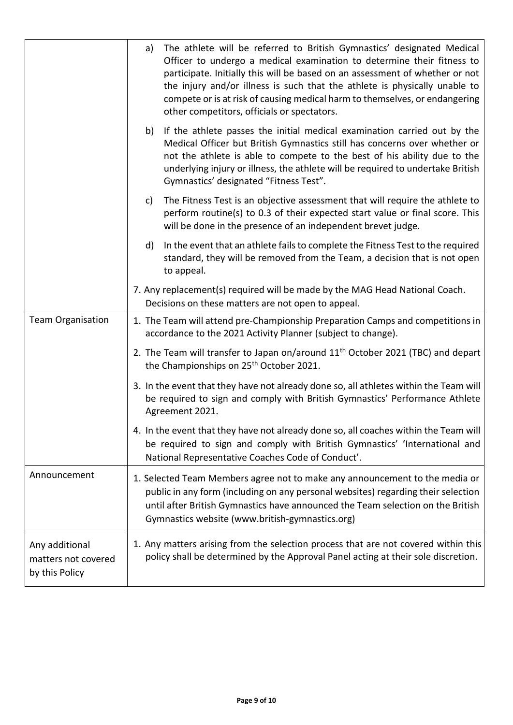|                                                         | The athlete will be referred to British Gymnastics' designated Medical<br>a)<br>Officer to undergo a medical examination to determine their fitness to<br>participate. Initially this will be based on an assessment of whether or not<br>the injury and/or illness is such that the athlete is physically unable to<br>compete or is at risk of causing medical harm to themselves, or endangering<br>other competitors, officials or spectators. |  |  |  |  |
|---------------------------------------------------------|----------------------------------------------------------------------------------------------------------------------------------------------------------------------------------------------------------------------------------------------------------------------------------------------------------------------------------------------------------------------------------------------------------------------------------------------------|--|--|--|--|
|                                                         | If the athlete passes the initial medical examination carried out by the<br>b)<br>Medical Officer but British Gymnastics still has concerns over whether or<br>not the athlete is able to compete to the best of his ability due to the<br>underlying injury or illness, the athlete will be required to undertake British<br>Gymnastics' designated "Fitness Test".                                                                               |  |  |  |  |
|                                                         | The Fitness Test is an objective assessment that will require the athlete to<br>c)<br>perform routine(s) to 0.3 of their expected start value or final score. This<br>will be done in the presence of an independent brevet judge.                                                                                                                                                                                                                 |  |  |  |  |
|                                                         | In the event that an athlete fails to complete the Fitness Test to the required<br>d)<br>standard, they will be removed from the Team, a decision that is not open<br>to appeal.                                                                                                                                                                                                                                                                   |  |  |  |  |
|                                                         | 7. Any replacement(s) required will be made by the MAG Head National Coach.<br>Decisions on these matters are not open to appeal.                                                                                                                                                                                                                                                                                                                  |  |  |  |  |
| <b>Team Organisation</b>                                | 1. The Team will attend pre-Championship Preparation Camps and competitions in<br>accordance to the 2021 Activity Planner (subject to change).                                                                                                                                                                                                                                                                                                     |  |  |  |  |
|                                                         | 2. The Team will transfer to Japan on/around 11 <sup>th</sup> October 2021 (TBC) and depart<br>the Championships on 25 <sup>th</sup> October 2021.                                                                                                                                                                                                                                                                                                 |  |  |  |  |
|                                                         | 3. In the event that they have not already done so, all athletes within the Team will<br>be required to sign and comply with British Gymnastics' Performance Athlete<br>Agreement 2021.                                                                                                                                                                                                                                                            |  |  |  |  |
|                                                         | 4. In the event that they have not already done so, all coaches within the Team will<br>be required to sign and comply with British Gymnastics' 'International and<br>National Representative Coaches Code of Conduct'.                                                                                                                                                                                                                            |  |  |  |  |
| Announcement                                            | 1. Selected Team Members agree not to make any announcement to the media or<br>public in any form (including on any personal websites) regarding their selection<br>until after British Gymnastics have announced the Team selection on the British<br>Gymnastics website (www.british-gymnastics.org)                                                                                                                                             |  |  |  |  |
| Any additional<br>matters not covered<br>by this Policy | 1. Any matters arising from the selection process that are not covered within this<br>policy shall be determined by the Approval Panel acting at their sole discretion.                                                                                                                                                                                                                                                                            |  |  |  |  |